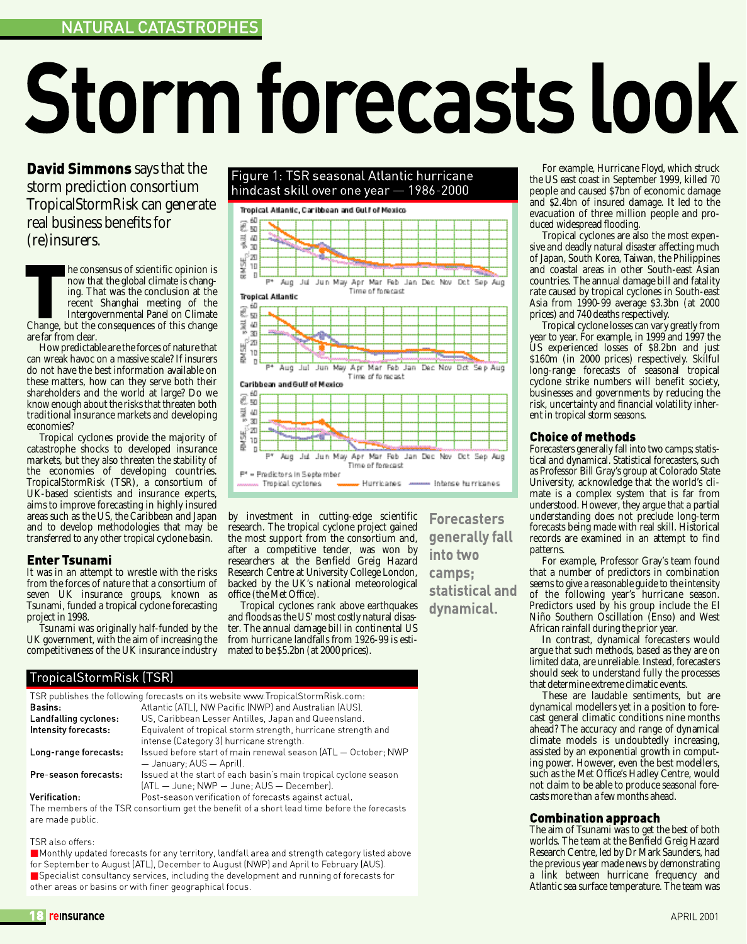# **NATURAL CATASTROPHES**

# Storm forecasts look

Figure 1: TSR seasonal Atlantic hurricane

**David Simmons** says that the s torm prediction consortium TropicalStorm Risk can generate real business benefits for (re) insurers.

he consensus of scientific opinion is now that the global climate is changing. That was the conclusion at the recent Shanghai meeting of the Intergovernmental Panel on Climate Change, but the consequences of this change are far from clear.

How predictable are the forces of nature that can wreak havoc on a massive scale? If insurers do not have the best information available on these matters, how can they serve both their shareholders and the world at large? Do we know enough about the risks that threaten both traditional insurance markets and developing economies?

Tropical cyclones provide the majority of catastrophe shocks to developed insurance markets, but they also threaten the stability of the economies of developing countries. TropicalStormRisk (TSR), a consortium of UK-based scientists and insurance experts, aims to improve forecasting in highly insured areas such as the US, the Caribbean and Japan and to develop methodologies that may be transferred to any other tropical cyclone basin.

## **Enter Tsunami**

It was in an attempt to wrestle with the risks from the forces of nature that a consortium of seven UK insurance groups, known as Tsunami, funded a tropical cyclone forecasting project in 1998.

Tsunami was originally half-funded by the UK government, with the aim of increasing the competitiveness of the UK insurance industry

## TropicalStormRisk (TSR)

| TSR publishes the following forecasts on its website www. Tropical Storm Risk.com:          |                                                                  |  |  |  |
|---------------------------------------------------------------------------------------------|------------------------------------------------------------------|--|--|--|
| Basins:                                                                                     | Atlantic (ATL), NW Pacific (NWP) and Australian (AUS).           |  |  |  |
| Landfalling cyclones:                                                                       | US, Caribbean Lesser Antilles, Japan and Queensland.             |  |  |  |
| Intensity forecasts:                                                                        | Equivalent of tropical storm strength, hurricane strength and    |  |  |  |
|                                                                                             | intense (Category 3) hurricane strength                          |  |  |  |
| Long-range forecasts:                                                                       | Issued before start of main renewal season (ATL - October: NWF   |  |  |  |
|                                                                                             | — January: AUS — April).                                         |  |  |  |
| Pre-season forecasts:                                                                       | Issued at the start of each basin's main tropical cyclone season |  |  |  |
|                                                                                             | (ATL - June: NWP - June: AUS - December).                        |  |  |  |
| Verification:                                                                               | Post-season verification of forecasts against actual.            |  |  |  |
| The members of the TSR consortium get the benefit of a short lead time before the forecasts |                                                                  |  |  |  |

are made public.

TSR also offers:

■ Monthly updated forecasts for any territory, landfall area and strength category listed above for September to August (ATL), December to August (NWP) and April to February (AUS).

■ Specialist consultancy services, including the development and running of forecasts for other areas or basins or with finer geographical focus.



by investment in cutting-edge scientific re search. The tropical cyclone project gained the most support from the consortium and, after a competitive tender, was won by researchers at the Benfield Greig Hazard Research Centre at University College London, backed by the UK's national meteorological office (the Met Office).

Tropical cyclones

Tropical cyclones rank above earthquakes and floods as the US' most costly natural disaster. The annual damage bill in continental US from hurricane landfalls from 1926-99 is estimated to be \$5.2bn (at 2000 prices).

**Forecasters** generally fall into two camps; statistical and dynamical.

Hurricanes --------- Intense furnisanes

For example, Hurricane Floyd, which struck the US east coast in September 1999, killed 70 people and caused \$7bn of economic damage and \$2.4bn of insured damage. It led to the evacuation of three million people and produced widespread flooding.

Tropical cyclones are also the most expensive and deadly natural disaster affecting much of Japan, South Korea, Taiwan, the Philippines and coastal areas in other South-east Asian countries. The annual damage bill and fatality rate caused by tropical cyclones in South-east Asia from 1990-99 average \$3.3bn (at 2000 prices) and 740 deaths respectively.

Tropical cyclone losses can vary greatly from year to year. For example, in 1999 and 1997 the US experienced losses of \$8.2bn and just \$160m (in 2000 prices) respectively. Skilful long-range forecasts of seasonal tropical cyclone strike numbers will benefit society, businesses and governments by reducing the risk, uncertainty and financial volatility inherent in tropical storm seasons.

## **Choice of methods**

Forecasters generally fall into two camps; statistical and dynamical. Statistical forecasters, such as Professor Bill Gray's group at Colorado State University, acknowledge that the world's climate is a complex system that is far from understood. However, they argue that a partial understanding does not preclude long-term forecasts being made with real skill. Historical records are examined in an attempt to find patterns.

For example, Professor Gray's team found that a number of predictors in combination seems to give a reasonable guide to the intensity of the following year's hurricane season. Predictors used by his group include the El Niño Southern Oscillation (Enso) and West African rainfall during the prior year.

In contrast, dynamical forecasters would argue that such methods, based as they are on limited data, are unreliable. Instead, forecasters should seek to understand fully the processes that determine extreme climatic events.

These are laudable sentiments, but are dynamical modellers yet in a position to forecast general climatic conditions nine months ahead? The accuracy and range of dynamical climate models is undoubtedly increasing, assisted by an exponential growth in computing power. However, even the best modellers, such as the Met Office's Hadley Centre, would not claim to be able to produce seasonal forecasts more than a few months ahead.

## **Combination approach**

The aim of Tsunami was to get the best of both worlds. The team at the Benfield Greig Hazard Research Centre, led by Dr Mark Saunders, had the previous year made news by demonstrating a link between hurricane frequency and Atlantic sea surface temperature. The team was